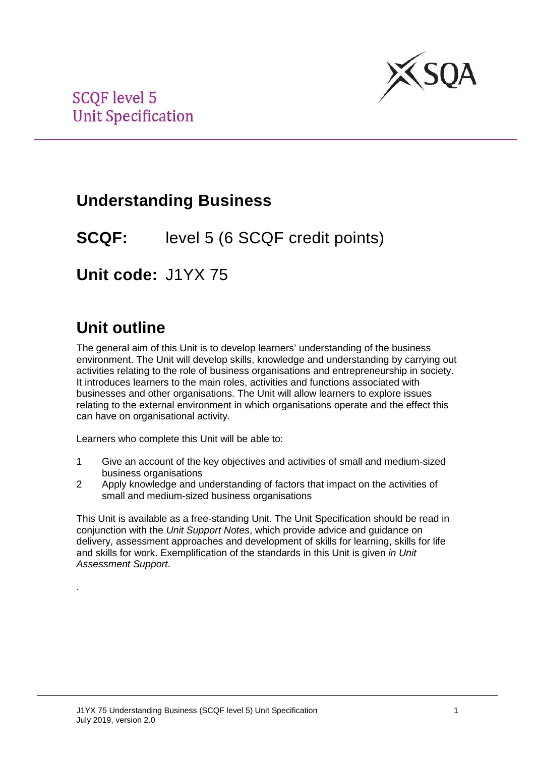

## **Understanding Business**

**SCQF:** level 5 (6 SCQF credit points)

**Unit code:** J1YX 75

# **Unit outline**

.

The general aim of this Unit is to develop learners' understanding of the business environment. The Unit will develop skills, knowledge and understanding by carrying out activities relating to the role of business organisations and entrepreneurship in society. It introduces learners to the main roles, activities and functions associated with businesses and other organisations. The Unit will allow learners to explore issues relating to the external environment in which organisations operate and the effect this can have on organisational activity.

Learners who complete this Unit will be able to:

- 1 Give an account of the key objectives and activities of small and medium-sized business organisations
- 2 Apply knowledge and understanding of factors that impact on the activities of small and medium-sized business organisations

This Unit is available as a free-standing Unit. The Unit Specification should be read in conjunction with the *Unit Support Notes*, which provide advice and guidance on delivery, assessment approaches and development of skills for learning, skills for life and skills for work. Exemplification of the standards in this Unit is given *in Unit Assessment Support*.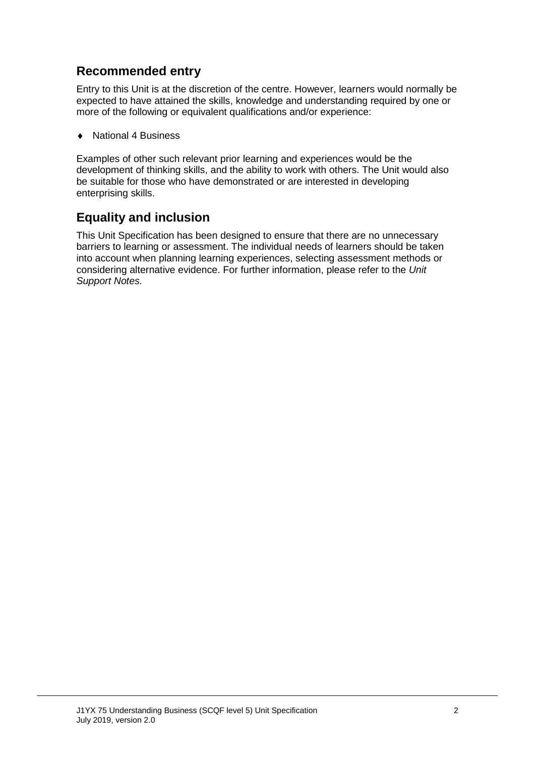### **Recommended entry**

Entry to this Unit is at the discretion of the centre. However, learners would normally be expected to have attained the skills, knowledge and understanding required by one or more of the following or equivalent qualifications and/or experience:

♦ National 4 Business

Examples of other such relevant prior learning and experiences would be the development of thinking skills, and the ability to work with others. The Unit would also be suitable for those who have demonstrated or are interested in developing enterprising skills.

#### **Equality and inclusion**

This Unit Specification has been designed to ensure that there are no unnecessary barriers to learning or assessment. The individual needs of learners should be taken into account when planning learning experiences, selecting assessment methods or considering alternative evidence. For further information, please refer to the *Unit Support Notes.*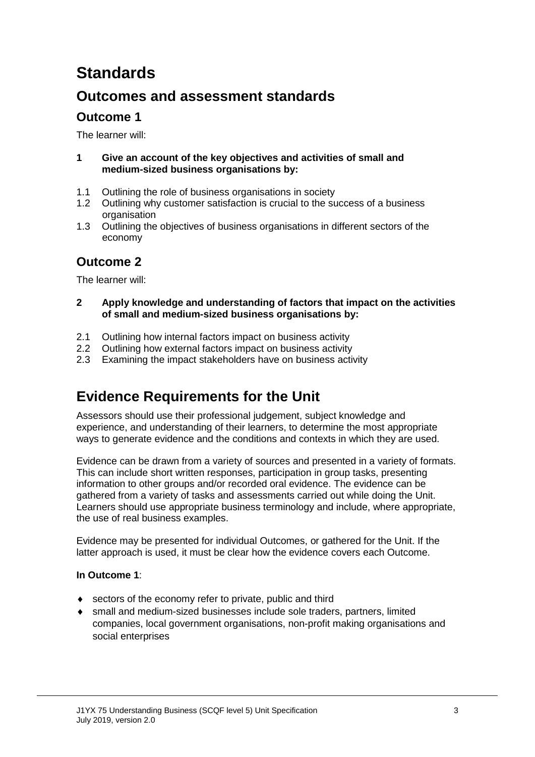# **Standards**

### **Outcomes and assessment standards**

### **Outcome 1**

The learner will:

- **1 Give an account of the key objectives and activities of small and medium-sized business organisations by:**
- 1.1 Outlining the role of business organisations in society<br>1.2 Outlining why customer satisfaction is crucial to the su
- Outlining why customer satisfaction is crucial to the success of a business organisation
- 1.3 Outlining the objectives of business organisations in different sectors of the economy

### **Outcome 2**

The learner will:

- **2 Apply knowledge and understanding of factors that impact on the activities of small and medium-sized business organisations by:**
- 2.1 Outlining how internal factors impact on business activity<br>2.2 Outlining how external factors impact on business activity
- 2.2 Outlining how external factors impact on business activity
- 2.3 Examining the impact stakeholders have on business activity

## **Evidence Requirements for the Unit**

Assessors should use their professional judgement, subject knowledge and experience, and understanding of their learners, to determine the most appropriate ways to generate evidence and the conditions and contexts in which they are used.

Evidence can be drawn from a variety of sources and presented in a variety of formats. This can include short written responses, participation in group tasks, presenting information to other groups and/or recorded oral evidence. The evidence can be gathered from a variety of tasks and assessments carried out while doing the Unit. Learners should use appropriate business terminology and include, where appropriate, the use of real business examples.

Evidence may be presented for individual Outcomes, or gathered for the Unit. If the latter approach is used, it must be clear how the evidence covers each Outcome.

#### **In Outcome 1**:

- ♦ sectors of the economy refer to private, public and third
- ♦ small and medium-sized businesses include sole traders, partners, limited companies, local government organisations, non-profit making organisations and social enterprises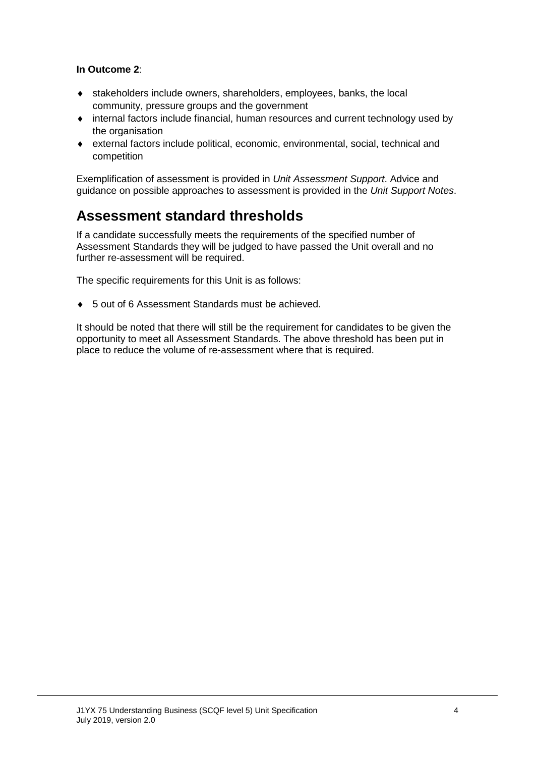#### **In Outcome 2**:

- ♦ stakeholders include owners, shareholders, employees, banks, the local community, pressure groups and the government
- ♦ internal factors include financial, human resources and current technology used by the organisation
- ♦ external factors include political, economic, environmental, social, technical and competition

Exemplification of assessment is provided in *Unit Assessment Support*. Advice and guidance on possible approaches to assessment is provided in the *Unit Support Notes*.

### **Assessment standard thresholds**

If a candidate successfully meets the requirements of the specified number of Assessment Standards they will be judged to have passed the Unit overall and no further re-assessment will be required.

The specific requirements for this Unit is as follows:

♦ 5 out of 6 Assessment Standards must be achieved.

It should be noted that there will still be the requirement for candidates to be given the opportunity to meet all Assessment Standards. The above threshold has been put in place to reduce the volume of re-assessment where that is required.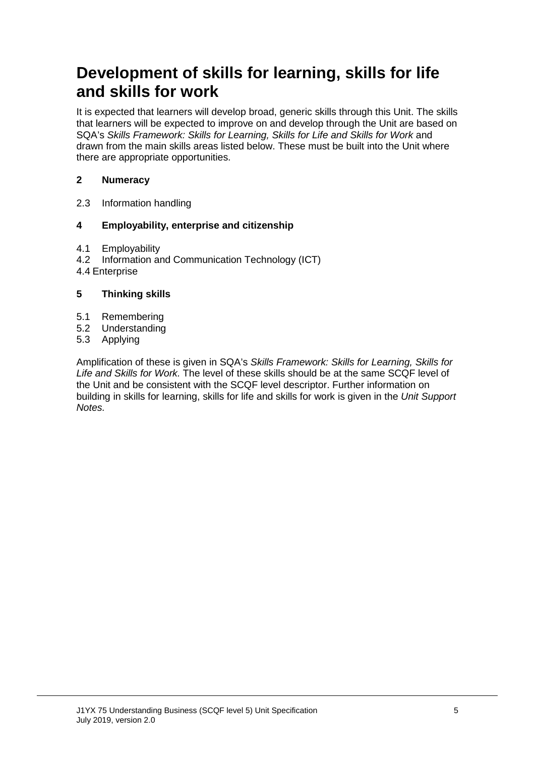## **Development of skills for learning, skills for life and skills for work**

It is expected that learners will develop broad, generic skills through this Unit. The skills that learners will be expected to improve on and develop through the Unit are based on SQA's *Skills Framework: Skills for Learning, Skills for Life and Skills for Work* and drawn from the main skills areas listed below. These must be built into the Unit where there are appropriate opportunities.

#### **2 Numeracy**

2.3 Information handling

#### **4 Employability, enterprise and citizenship**

- 4.1 Employability<br>4.2 Information are
- Information and Communication Technology (ICT)
- 4.4 Enterprise

#### **5 Thinking skills**

- 5.1 Remembering
- 5.2 Understanding<br>5.3 Applying
- **Applying**

Amplification of these is given in SQA's *Skills Framework: Skills for Learning, Skills for Life and Skills for Work.* The level of these skills should be at the same SCQF level of the Unit and be consistent with the SCQF level descriptor. Further information on building in skills for learning, skills for life and skills for work is given in the *Unit Support Notes.*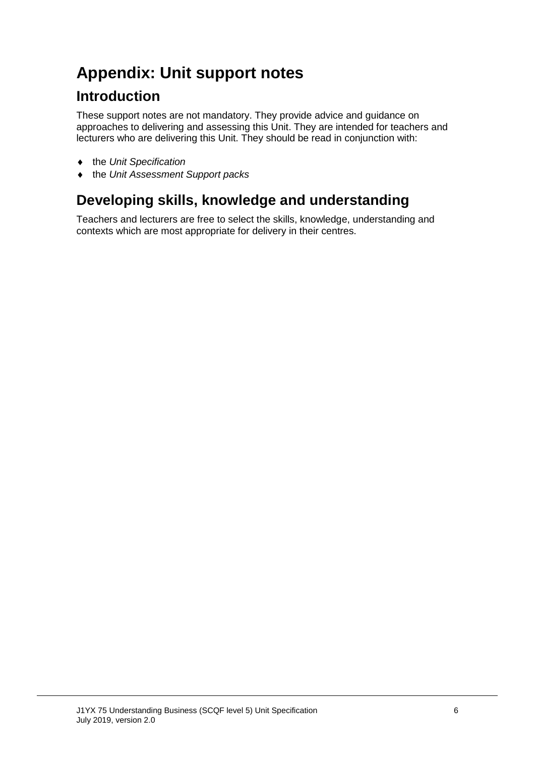# **Appendix: Unit support notes**

### **Introduction**

These support notes are not mandatory. They provide advice and guidance on approaches to delivering and assessing this Unit. They are intended for teachers and lecturers who are delivering this Unit. They should be read in conjunction with:

- ♦ the *Unit Specification*
- ♦ the *Unit Assessment Support packs*

## **Developing skills, knowledge and understanding**

Teachers and lecturers are free to select the skills, knowledge, understanding and contexts which are most appropriate for delivery in their centres.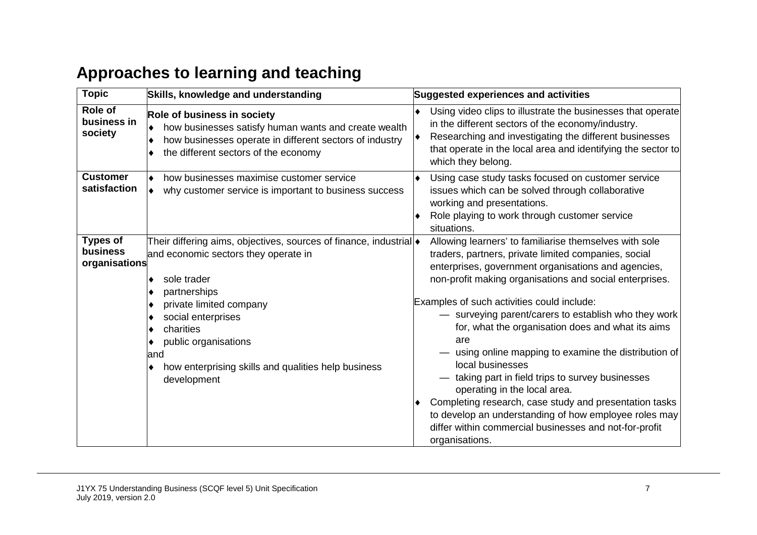# **Approaches to learning and teaching**

| <b>Topic</b>                                 | Skills, knowledge and understanding                                                                                                                                                                                                                                                                                           | <b>Suggested experiences and activities</b>                                                                                                                                                                                                                                                                                                                                                                                                                                                                                                                                                                                                                                                                                                                     |  |  |
|----------------------------------------------|-------------------------------------------------------------------------------------------------------------------------------------------------------------------------------------------------------------------------------------------------------------------------------------------------------------------------------|-----------------------------------------------------------------------------------------------------------------------------------------------------------------------------------------------------------------------------------------------------------------------------------------------------------------------------------------------------------------------------------------------------------------------------------------------------------------------------------------------------------------------------------------------------------------------------------------------------------------------------------------------------------------------------------------------------------------------------------------------------------------|--|--|
| Role of<br>business in<br>society            | Role of business in society<br>how businesses satisfy human wants and create wealth<br>how businesses operate in different sectors of industry<br>the different sectors of the economy<br>٠                                                                                                                                   | Using video clips to illustrate the businesses that operate<br>٠<br>in the different sectors of the economy/industry.<br>Researching and investigating the different businesses<br> ♦<br>that operate in the local area and identifying the sector to<br>which they belong.                                                                                                                                                                                                                                                                                                                                                                                                                                                                                     |  |  |
| <b>Customer</b><br>satisfaction              | how businesses maximise customer service<br>why customer service is important to business success                                                                                                                                                                                                                             | Using case study tasks focused on customer service<br>issues which can be solved through collaborative<br>working and presentations.<br>Role playing to work through customer service<br>situations.                                                                                                                                                                                                                                                                                                                                                                                                                                                                                                                                                            |  |  |
| <b>Types of</b><br>business<br>organisations | Their differing aims, objectives, sources of finance, industrial  •<br>and economic sectors they operate in<br>sole trader<br>٠<br>partnerships<br>private limited company<br>social enterprises<br>charities<br>٠<br>public organisations<br>٠<br>land<br>how enterprising skills and qualities help business<br>development | Allowing learners' to familiarise themselves with sole<br>traders, partners, private limited companies, social<br>enterprises, government organisations and agencies,<br>non-profit making organisations and social enterprises.<br>Examples of such activities could include:<br>- surveying parent/carers to establish who they work<br>for, what the organisation does and what its aims<br>are<br>using online mapping to examine the distribution of<br>local businesses<br>taking part in field trips to survey businesses<br>operating in the local area.<br>Completing research, case study and presentation tasks<br>to develop an understanding of how employee roles may<br>differ within commercial businesses and not-for-profit<br>organisations. |  |  |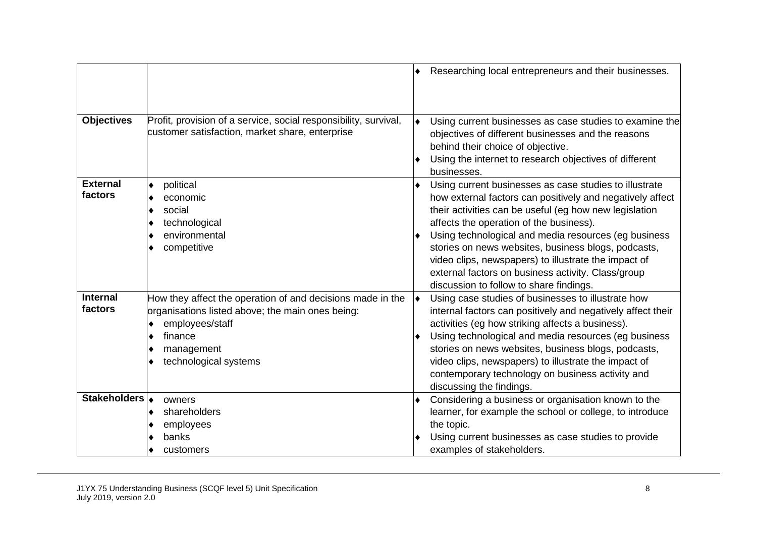|                            |                                                                                                                                                                                                            | Researching local entrepreneurs and their businesses.                                                                                                                                                                                                                                                                                                                                                                                                                                            |
|----------------------------|------------------------------------------------------------------------------------------------------------------------------------------------------------------------------------------------------------|--------------------------------------------------------------------------------------------------------------------------------------------------------------------------------------------------------------------------------------------------------------------------------------------------------------------------------------------------------------------------------------------------------------------------------------------------------------------------------------------------|
| <b>Objectives</b>          | Profit, provision of a service, social responsibility, survival,<br>customer satisfaction, market share, enterprise                                                                                        | Using current businesses as case studies to examine the<br>objectives of different businesses and the reasons<br>behind their choice of objective.<br>Using the internet to research objectives of different<br>businesses.                                                                                                                                                                                                                                                                      |
| <b>External</b><br>factors | political<br>$\bullet$<br>economic<br>$\bullet$<br>social<br>$\bullet$<br>technological<br>٠<br>environmental<br>competitive<br>٠                                                                          | Using current businesses as case studies to illustrate<br>how external factors can positively and negatively affect<br>their activities can be useful (eg how new legislation<br>affects the operation of the business).<br>Using technological and media resources (eg business<br>stories on news websites, business blogs, podcasts,<br>video clips, newspapers) to illustrate the impact of<br>external factors on business activity. Class/group<br>discussion to follow to share findings. |
| <b>Internal</b><br>factors | How they affect the operation of and decisions made in the<br>organisations listed above; the main ones being:<br>employees/staff<br>$\bullet$<br>finance<br>٠<br>management<br>٠<br>technological systems | Using case studies of businesses to illustrate how<br>$\blacklozenge$<br>internal factors can positively and negatively affect their<br>activities (eg how striking affects a business).<br>Using technological and media resources (eg business<br>stories on news websites, business blogs, podcasts,<br>video clips, newspapers) to illustrate the impact of<br>contemporary technology on business activity and<br>discussing the findings.                                                  |
| Stakeholders               | owners<br>shareholders<br>$\bullet$<br>employees<br>٠<br>banks<br>customers<br>٠                                                                                                                           | Considering a business or organisation known to the<br>learner, for example the school or college, to introduce<br>the topic.<br>Using current businesses as case studies to provide<br>examples of stakeholders.                                                                                                                                                                                                                                                                                |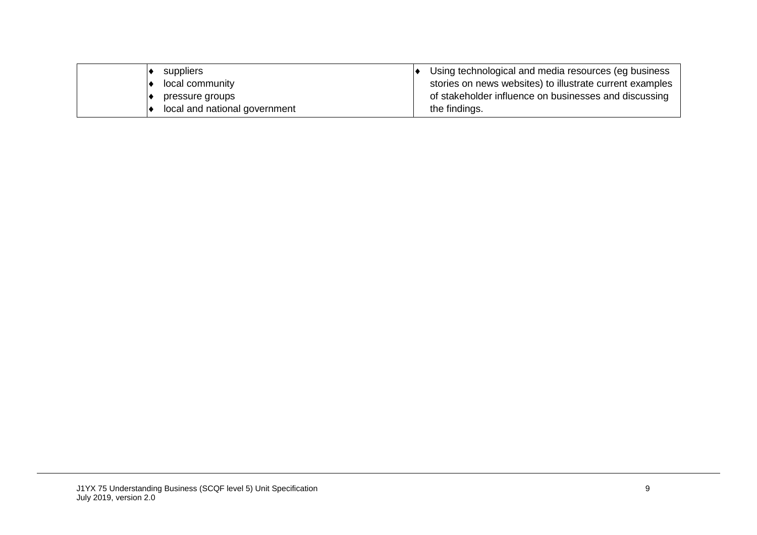| suppliers                     | Using technological and media resources (eg business     |
|-------------------------------|----------------------------------------------------------|
| local community               | stories on news websites) to illustrate current examples |
| pressure groups               | of stakeholder influence on businesses and discussing    |
| local and national government | the findings.                                            |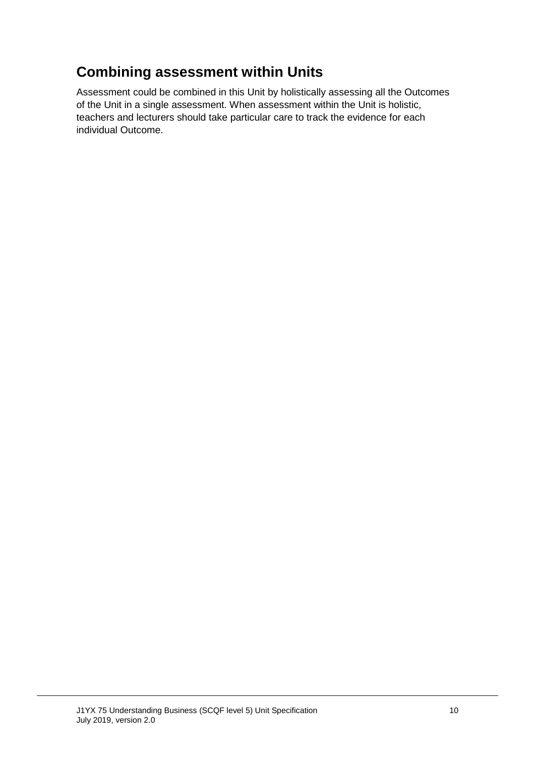## **Combining assessment within Units**

Assessment could be combined in this Unit by holistically assessing all the Outcomes of the Unit in a single assessment. When assessment within the Unit is holistic, teachers and lecturers should take particular care to track the evidence for each individual Outcome.